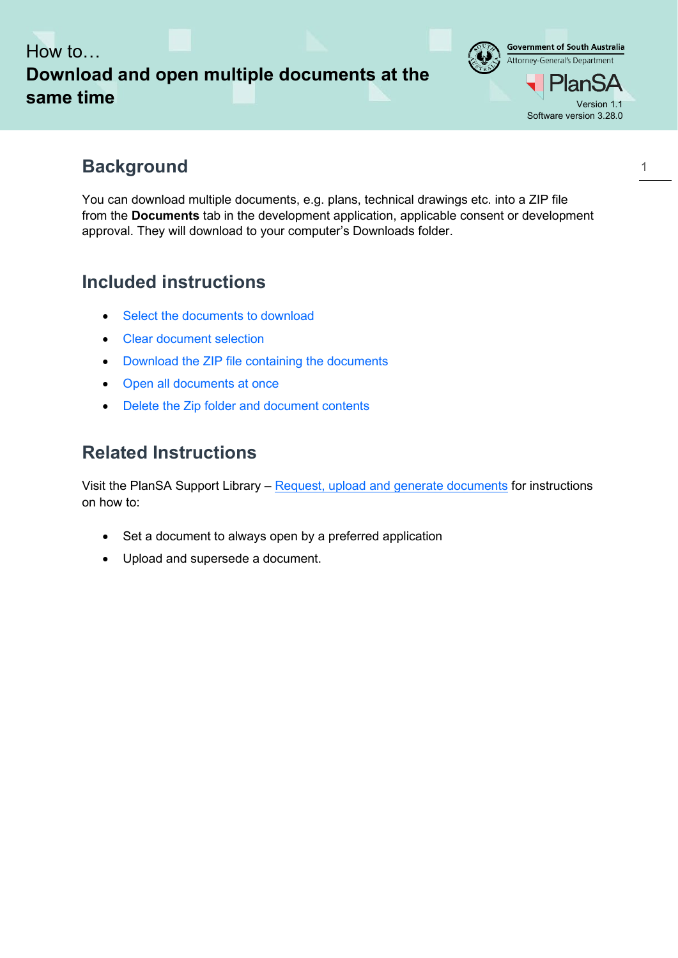# How to… **Download and open multiple documents at the same time** Version 1.1



## **Background**

You can download multiple documents, e.g. plans, technical drawings etc. into a ZIP file from the **Documents** tab in the development application, applicable consent or development approval. They will download to your computer's Downloads folder.

### **Included instructions**

- Select the documents to download
- Clear document selection
- Download the ZIP file containing the documents
- Open all documents at once
- Delete the Zip folder and document contents

### **Related Instructions**

Visit the PlanSA Support Library – [Request, upload and generate documents](https://plan.sa.gov.au/about/support_library/request,_upload_and_generate_documents) for instructions on how to:

- Set a document to always open by a preferred application
- Upload and supersede a document.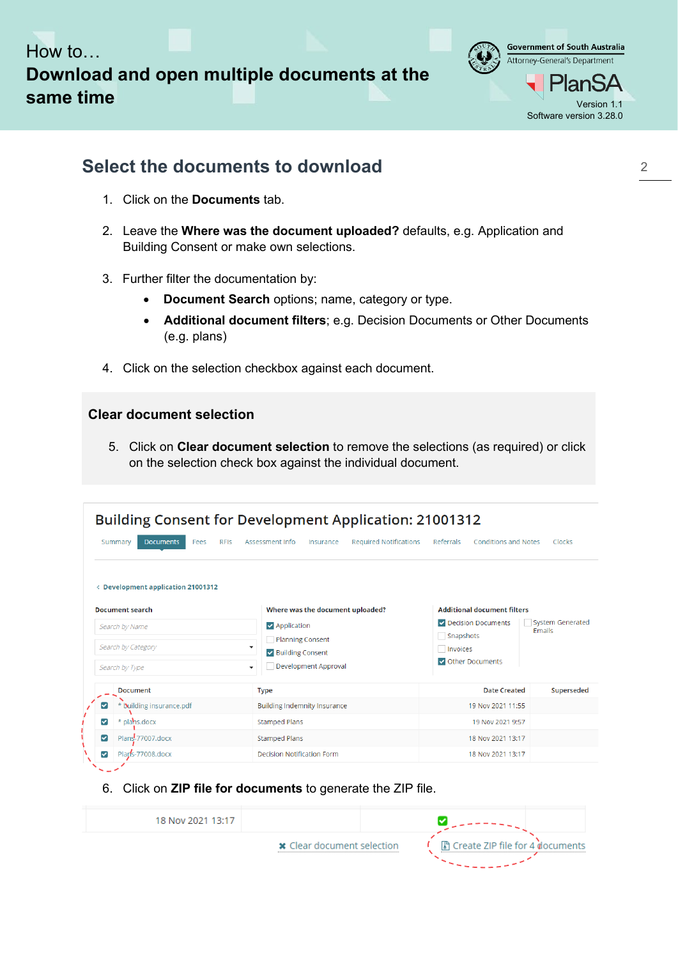



### **Select the documents to download**

- 1. Click on the **Documents** tab.
- 2. Leave the **Where was the document uploaded?** defaults, e.g. Application and Building Consent or make own selections.
- 3. Further filter the documentation by:
	- **Document Search** options; name, category or type.
	- **Additional document filters**; e.g. Decision Documents or Other Documents (e.g. plans)
- 4. Click on the selection checkbox against each document.

#### **Clear document selection**

5. Click on **Clear document selection** to remove the selections (as required) or click on the selection check box against the individual document.

|                                                    | <b>Building Consent for Development Application: 21001312</b>    |                                          |                                   |  |
|----------------------------------------------------|------------------------------------------------------------------|------------------------------------------|-----------------------------------|--|
| Summary<br><b>Documents</b><br><b>RFIS</b><br>Fees | Assessment Info<br><b>Required Notifications</b><br>Insurance    | Referrals<br><b>Conditions and Notes</b> | Clocks                            |  |
| < Development application 21001312                 |                                                                  |                                          |                                   |  |
| <b>Document search</b>                             | Where was the document uploaded?                                 | <b>Additional document filters</b>       |                                   |  |
| Search by Name                                     | <b>D</b> Application                                             | Decision Documents                       | <b>System Generated</b><br>Emails |  |
| Search by Category                                 | <b>Planning Consent</b><br>$\checkmark$                          | Snapshots<br>Invoices                    |                                   |  |
| Search by Type                                     | Building Consent<br>Development Approval<br>$\blacktriangledown$ | Other Documents                          |                                   |  |
| <b>Document</b>                                    | <b>Type</b>                                                      | <b>Date Created</b>                      | Superseded                        |  |
| * building insurance.pdf<br>☑                      | <b>Building Indemnity Insurance</b>                              | 19 Nov 2021 11:55                        |                                   |  |
| * plans.docx<br>◛                                  | <b>Stamped Plans</b>                                             | 19 Nov 2021 9:57                         |                                   |  |
| Plans-77007.docx<br>☑                              | <b>Stamped Plans</b>                                             | 18 Nov 2021 13:17                        |                                   |  |
| Plans-77008.docx<br>☑                              | <b>Decision Notification Form</b>                                | 18 Nov 2021 13:17                        |                                   |  |

6. Click on **ZIP file for documents** to generate the ZIP file.

| 18 Nov 2021 13:17 |                                   |                                   |  |
|-------------------|-----------------------------------|-----------------------------------|--|
|                   | <b>*</b> Clear document selection | ि Create ZIP file for 4 documents |  |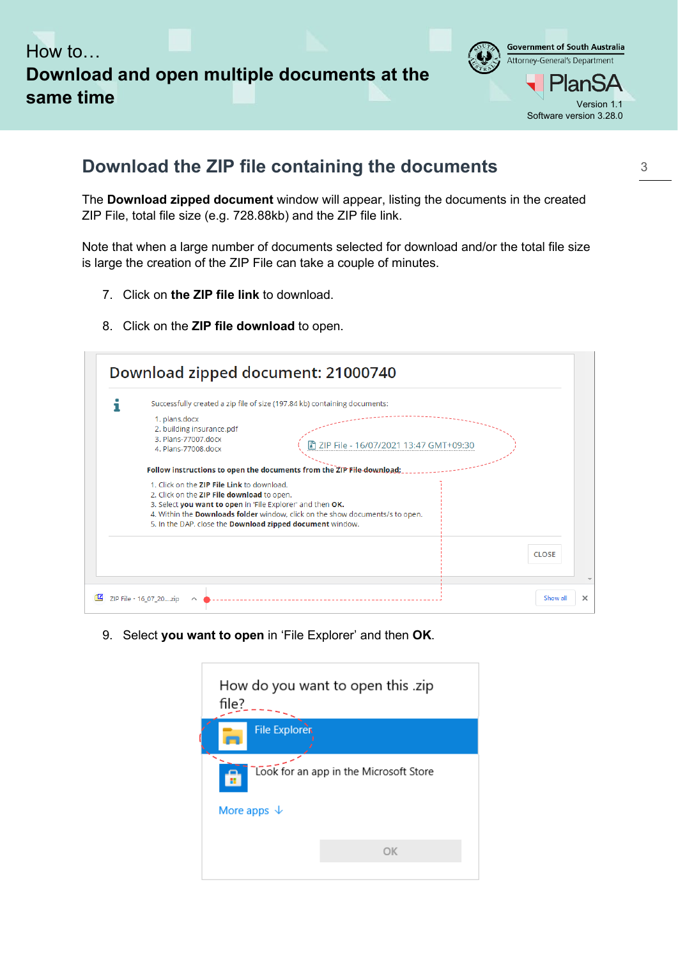



### **Download the ZIP file containing the documents**

The **Download zipped document** window will appear, listing the documents in the created ZIP File, total file size (e.g. 728.88kb) and the ZIP file link.

Note that when a large number of documents selected for download and/or the total file size is large the creation of the ZIP File can take a couple of minutes.

- 7. Click on **the ZIP file link** to download.
- 8. Click on the **ZIP file download** to open.

| Successfully created a zip file of size (197.84 kb) containing documents:                                                                  |              |
|--------------------------------------------------------------------------------------------------------------------------------------------|--------------|
| 1. plans.docx<br>2. building insurance.pdf<br>3. Plans-77007.docx<br>圖 ZIP File - 16/07/2021 13:47 GMT+09:30<br>4. Plans-77008.docx        |              |
| Follow instructions to open the documents from the ZIP File download:                                                                      |              |
| 1. Click on the ZIP File Link to download.<br>2. Click on the ZIP File download to open.                                                   |              |
| 3. Select you want to open in 'File Explorer' and then OK.                                                                                 |              |
| 4. Within the Downloads folder window, click on the show documents/s to open.<br>5. In the DAP, close the Download zipped document window. |              |
|                                                                                                                                            |              |
|                                                                                                                                            | <b>CLOSE</b> |
|                                                                                                                                            |              |

9. Select **you want to open** in 'File Explorer' and then **OK**.

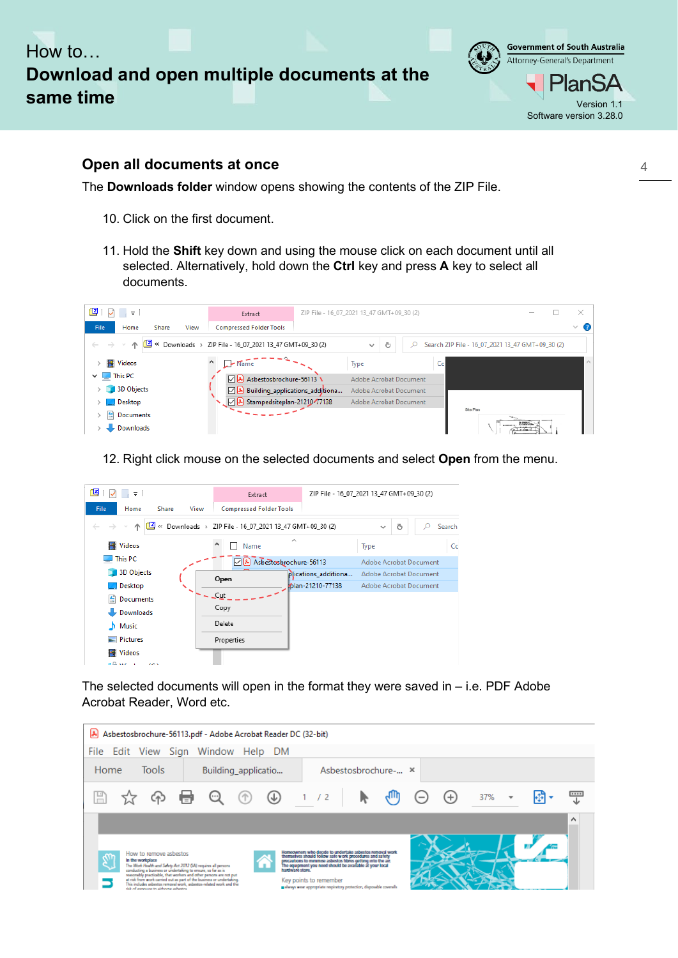



#### **Open all documents at once**

The **Downloads folder** window opens showing the contents of the ZIP File.

- 10. Click on the first document.
- 11. Hold the **Shift** key down and using the mouse click on each document until all selected. Alternatively, hold down the **Ctrl** key and press **A** key to select all documents.



12. Right click mouse on the selected documents and select **Open** from the menu.



The selected documents will open in the format they were saved in  $-$  i.e. PDF Adobe Acrobat Reader, Word etc.

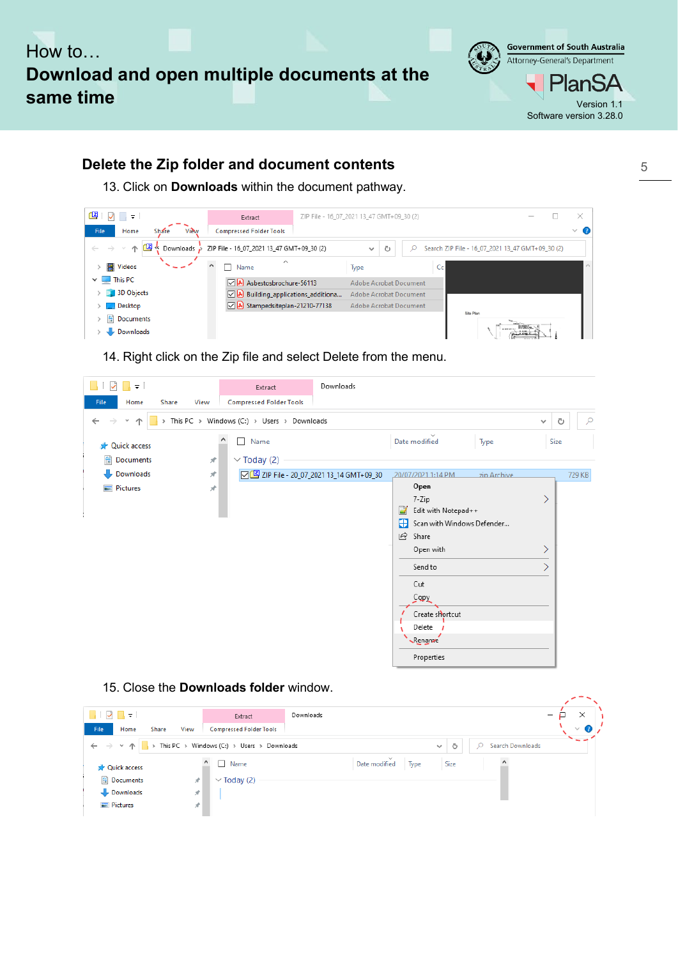

**Government of South Australia** Attorney-General's Department Software version 3.28.0

#### **Delete the Zip folder and document contents**

13. Click on **Downloads** within the document pathway.

| 但<br>$\overline{a}$                  | Extract                                   | ZIP File - 16 07 2021 13 47 GMT+09 30 (2) |                                                  |             |                             |
|--------------------------------------|-------------------------------------------|-------------------------------------------|--------------------------------------------------|-------------|-----------------------------|
| File<br>View<br>Home<br><b>Share</b> | <b>Compressed Folder Tools</b>            |                                           |                                                  |             |                             |
| 囸<br>Downloads $\geq$<br>≪           | ZIP File - 16_07_2021 13_47 GMT+09_30 (2) | Ō<br>$\checkmark$                         | Search ZIP File - 16_07_2021 13_47 GMT+09_30 (2) |             |                             |
| Videos<br>輵<br>$\sim$                | ∧<br>Name                                 | <b>Type</b>                               | Cc                                               |             | $\mathcal{O}_{\mathcal{N}}$ |
| $\vee$ $\Box$ This PC                | Asbestosbrochure-56113                    | Adobe Acrobat Document                    |                                                  |             |                             |
| 3D Objects                           | $\boxdot$ Building applications additiona | Adobe Acrobat Document                    |                                                  |             |                             |
| $\Box$ Desktop                       | Stampedsiteplan-21210-77138               | Adobe Acrobat Document                    |                                                  |             |                             |
| <b>Documents</b>                     |                                           |                                           | Site Plan                                        |             |                             |
| Downloads                            |                                           |                                           |                                                  | Louis STROL |                             |

14. Right click on the Zip file and select Delete from the menu.

| $\overline{\mathbf{v}}$                                  | Extract                                          | Downloads                                                                                                                                                                                                |
|----------------------------------------------------------|--------------------------------------------------|----------------------------------------------------------------------------------------------------------------------------------------------------------------------------------------------------------|
| View<br>File<br>Home<br>Share                            | <b>Compressed Folder Tools</b>                   |                                                                                                                                                                                                          |
| ▼ 个<br>$\leftarrow$                                      | > This PC > Windows (C:) > Users > Downloads     | Ω<br>Ō<br>$\checkmark$                                                                                                                                                                                   |
| <b>A</b> Quick access<br>質<br>$\mathcal{R}$<br>Documents | ٨<br>Name<br>п<br>$\vee$ Today (2)               | $\mathcal{L}$<br>Size<br>Date modified<br>Type                                                                                                                                                           |
| ┺<br>Downloads<br>$\mathcal{R}$                          | $\sqrt{2}$ ZIP File - 20_07_2021 13_14 GMT+09_30 | zin Archive<br>729 KB<br>20/07/2021 1:14 PM                                                                                                                                                              |
| $\blacksquare$ Pictures<br>À                             |                                                  | Open<br>⋋<br>7-Zip<br>Edit with Notepad++<br>$\blacksquare$<br>H<br>Scan with Windows Defender<br>岭<br>Share<br>Open with<br>Send to<br>Cut<br>Copy<br>Create shortcut<br>Delete<br>Rename<br>Properties |

#### 15. Close the **Downloads folder** window.

|                                                     |               | Extract                                      | Downloads |                                 |             |                  | $\times$<br>$\overline{\phantom{0}}$ |
|-----------------------------------------------------|---------------|----------------------------------------------|-----------|---------------------------------|-------------|------------------|--------------------------------------|
| File<br>Home                                        | Share<br>View | <b>Compressed Folder Tools</b>               |           |                                 |             |                  | $\vee$ 0                             |
| $\leftarrow$ $\rightarrow$ $\rightarrow$ $\uparrow$ |               | > This PC > Windows (C:) > Users > Downloads |           |                                 | Ō<br>$\sim$ | Search Downloads |                                      |
| <b>Cuick access</b>                                 |               | Name                                         |           | $\sim$<br>Date modified<br>Type | Size        | Α                |                                      |
| Documents                                           | À             | $\vee$ Today (2)                             |           |                                 |             |                  |                                      |
| Downloads                                           | st            |                                              |           |                                 |             |                  |                                      |
| Pictures                                            | À             |                                              |           |                                 |             |                  |                                      |